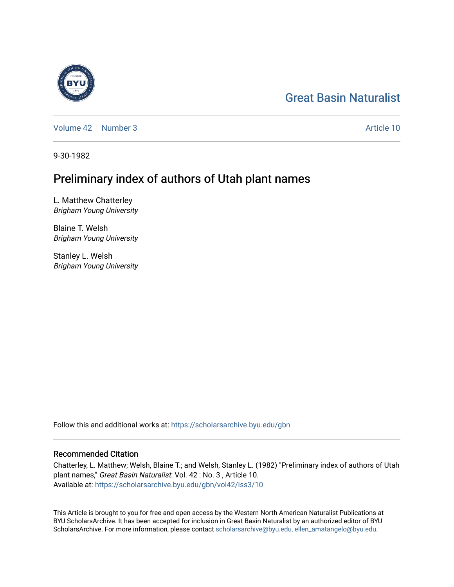# [Great Basin Naturalist](https://scholarsarchive.byu.edu/gbn)

[Volume 42](https://scholarsarchive.byu.edu/gbn/vol42) [Number 3](https://scholarsarchive.byu.edu/gbn/vol42/iss3) Article 10

9-30-1982

# Preliminary index of authors of Utah plant names

L. Matthew Chatterley Brigham Young University

Blaine T. Welsh Brigham Young University

Stanley L. Welsh Brigham Young University

Follow this and additional works at: [https://scholarsarchive.byu.edu/gbn](https://scholarsarchive.byu.edu/gbn?utm_source=scholarsarchive.byu.edu%2Fgbn%2Fvol42%2Fiss3%2F10&utm_medium=PDF&utm_campaign=PDFCoverPages) 

## Recommended Citation

Chatterley, L. Matthew; Welsh, Blaine T.; and Welsh, Stanley L. (1982) "Preliminary index of authors of Utah plant names," Great Basin Naturalist: Vol. 42 : No. 3 , Article 10. Available at: [https://scholarsarchive.byu.edu/gbn/vol42/iss3/10](https://scholarsarchive.byu.edu/gbn/vol42/iss3/10?utm_source=scholarsarchive.byu.edu%2Fgbn%2Fvol42%2Fiss3%2F10&utm_medium=PDF&utm_campaign=PDFCoverPages) 

This Article is brought to you for free and open access by the Western North American Naturalist Publications at BYU ScholarsArchive. It has been accepted for inclusion in Great Basin Naturalist by an authorized editor of BYU ScholarsArchive. For more information, please contact [scholarsarchive@byu.edu, ellen\\_amatangelo@byu.edu.](mailto:scholarsarchive@byu.edu,%20ellen_amatangelo@byu.edu)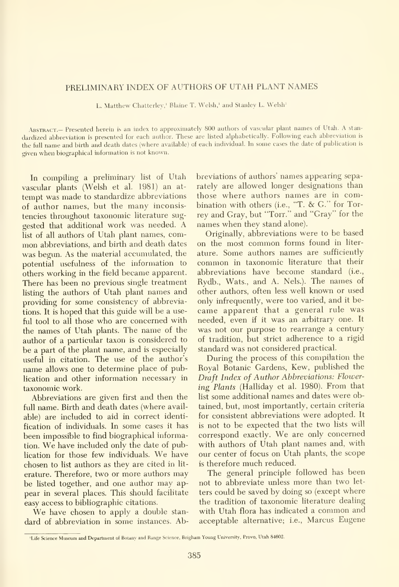### PRELIMINARY INDEX OF AUTHORS OF UTAH PLANT NAMES

L. Matthew Chatterley,' Blaine T. Welsh,' and Stanley L. Welsh'

ABSTRACT.— Presented herein is an index to approximately 800 authors of vascular plant names of Utah. A standardized abbreviation is presented for each author. These are listed alphabetically. Following each abbreviation is the full name and birth and death dates (where available) of each individual. In some cases the date of publication is given when biographical information is not known.

In compiling a preliminary list of Utah vascular plants (Welsh et al. 1981) an at tempt was made to standardize abbreviations of author names, but the many inconsistencies throughout taxonomic literature sug gested that additional work was needed. A list of all authors of Utah plant names, com mon abbreviations, and birth and death dates was begun. As the material accumulated, the potential usefulness of the information to others working in the field became apparent. There has been no previous single treatment listing the authors of Utah plant names and providing for some consistency of abbreviations. It is hoped that this guide will be a useful tool to all those who are concerned with the names of Utah plants. The name of the author of a particular taxon is considered to be a part of the plant name, and is especially useful in citation. The use of the author's name allows one to determine place of publication and other information necessary in taxonomic work.

Abbreviations are given first and then the full name. Birth and death dates (where avail able) are included to aid in correct identi fication of individuals. In some cases it has been impossible to find biographical information. We have included only the date of publication for those few individuals. We have chosen to list authors as they are cited in lit erature. Therefore, two or more authors may be listed together, and one author may ap pear in several places. This should facilitate easy access to bibliographic citations.

We have chosen to apply a double standard of abbreviation in some instances. Abbreviations of authors' names appearing separately are allowed longer designations than those where authors names are in combination with others (i.e., "T. & G." for Torrey and Gray, but "Torr." and "Gray" for the names when they stand alone).

Originally, abbreviations were to be based on the most common forms found in liter ature. Some authors names are sufficiently common in taxonomic literature that their abbreviations have become standard (i.e., Rydb., Wats., and A. Nels.). The names of other authors, often less well known or used only infrequently, were too varied, and it became apparent that <sup>a</sup> general rule was needed, even if it was an arbitrary one. It was not our purpose to rearrange a century of tradition, but strict adherence to a rigid standard was not considered practical.

During the process of this compilation the Royal Botanic Gardens, Kew, published the Draft Index of Author Abbreviations: Flowering Plants (Halliday et al. 1980). From that list some additional names and dates were obtained, but, most importantly, certain criteria for consistent abbreviations were adopted. It is not to be expected that the two lists will correspond exactly. We are only concerned with authors of Utah plant names and, with our center of focus on Utah plants, the scope is therefore much reduced.

The general principle followed has been not to abbreviate unless more than two let ters could be saved by doing so (except where the tradition of taxonomic literature dealing with Utah flora has indicated <sup>a</sup> common and acceptable alternative; i.e., Marcus Eugene

<sup>&#</sup>x27;Life Science Museum and Department of Botany and Range Science, Brigham Young University, Provo, Utah 84602.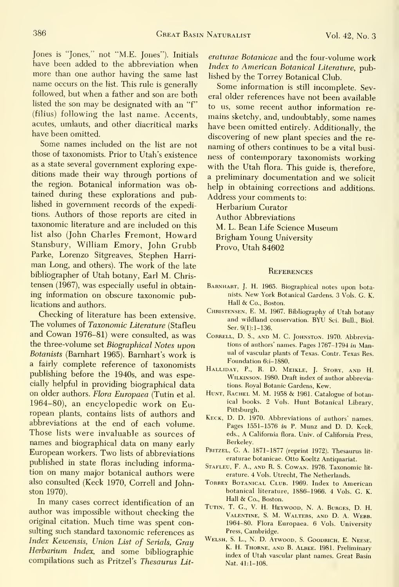Jones is "Jones," not "M.E. Jones"). Initials have been added to the abbreviation when more than one author having the same last name occurs on the list. This rule is generally followed, but when a father and son are both listed the son may be designated with an "f" (filius) following the last name. Accents, acutes, umlauts, and other diacritical marks have been omitted.

Some names included on the list are not those of taxonomists. Prior to Utah's existence as a state several government exploring expeditions made their way through portions of the region. Botanical information was obtained during these explorations and published in government records of the expeditions. Authors of those reports are cited in taxonomic literature and are included on this list also (John Charles Fremont, Howard Stansbury, William Emory, John Grubb Parke, Lorenzo Sitgreaves, Stephen Harri man Long, and others). The work of the late bibliographer of Utah botany. Earl M. Chris tensen (1967), was especially useful in obtaining information on obscure taxonomic publications and authors.

Checking of literature has been extensive. The volumes of Taxonomic Literature (Stafleu and Cowan 1976-81) were consulted, as was the three-volume set Biographical Notes upon Botanists (Bamhart 1965). Barnhart's work is a fairly complete reference of taxonomists publishing before the 1940s, and was especially helpful in providing biographical data on older authors. Flora Europaea (Tutin et al. 1964-80), an encyclopedic work on European plants, contains lists of authors and abbreviations at the end of each volume. Those lists were invaluable as sources of names and biographical data on many early European workers. Two lists of abbreviations published in state floras including information on many major botanical authors were also consulted (Keck 1970, Correll and Johnston 1970).

In many cases correct identification of an author was impossible without checking the original citation. Much time was spent consulting such standard taxonomic references as Index Kewensis, Union List of Serials, Gray Herbarium Index, and some bibliographic compilations such as Pritzel's Thesaurus Lit-

eraturae Botanicae and the four-volume work Index to American Botanical Literature, published by the Torrey Botanical Club.

Some information is still incomplete. Several older references have not been available to us, some recent author information re mains sketchy, and, undoubtably, some names have been omitted entirely. Additionally, the discovering of new plant species and the re naming of others continues to be <sup>a</sup> vital busi ness of contemporary taxonomists working with the Utah flora. This guide is, therefore, a preliminary documentation and we solicit help in obtaining corrections and additions. Address your comments to:

Herbarium Curator Author Abbreviations M. L. Bean Life Science Museum Brigham Young University Provo, Utah 84602

### **REFERENCES**

- BARNHART, J. H. 1965. Biographical notes upon botanists. New York Botanical Gardens. <sup>3</sup> Vols. G. K. Hall & Co., Boston.
- Christensen, E. M. 1967. Bibliography of Utah botany and wildland conservation. BYU Sci. Bull., Biol. Ser. 9(1):1-136.
- Correll, D. S., and M. C. Johnston. 1970. Abbreviations of authors' names. Pages 1767-1794 in Manual of vascular plants of Texas. Contr. Texas Res. Foundation 6:i-1880.
- Halliday, p., R. D. Meikle, J. Story, and H. Wilkinson. 1980. Draft index of author abbreviations. Royal Botanic Gardens, Kew.
- HUNT, RACHEL M. M. 1958 & 1961. Catalogue of botanical books. 2 Vols. Hunt Botanical Library, Pittsburgh.
- Keck, D. D. 1970. Abbreviations of authors' names. Pages 1551-1576 in P. Munz and D. D. Keck, eds., A California flora. Univ. of California Press, Berkeley.
- PRITZEL, G. A. 1871-1877 (reprint 1972). Thesaurus literaturae botanicae. Otto Koeltz Antiquariat.
- Stafleu, F. A., and R. S. Cowan. 1976. Taxonomic lit erature. 4 Vols. Utrecht, The Netherlands.
- TORREY BOTANICAL CLUB. 1969. Index to American botanical literature, 1886-1966. 4 Vols. G. K. Hall & Co., Boston.
- Tutin, T. G., V. H. Heywood, N. A. Burges, D. H. Valentine, S. M. Walters, and D. A. Webb. 1964-80. Flora Europaea. 6 Vols. University Press, Cambridge.
- Welsh, S. L., N. D. Atwood, S. Goodrich, E. Neese, K. H. Thorne, and B. Albee. 1981. Preliminary index of Utah vascular plant names. Great Basin Nat. 41:1-108.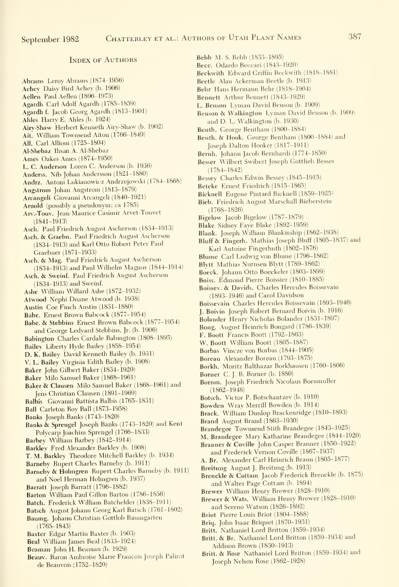#### Index of Authors

Abrams Leroy Abrams (1874-1956) Achev Daisy Bird Achey (b. 1906) Aellen Paul Aellen (1896-1973)

Agardh Carl Adolf Agardh (1785-1859)

Agardh f. Jacob Georg Agardh (1813-1901)

- Ahles Harry E. Ahles (b. 1924)
- Airy-Shaw Herbert Kenneth Airy-Shaw (b. 1902)
- Ait. William Townsend Aiton (1766-1849)
- All. Carl AUioni (1725-1804)
- Al-Shebaz Ihsan A. Al-Shebaz
- Ames Oakes Ames (1874-1950)
- L. C. Anderson Loren C. Anderson (b. 1936)
- Anderss. Nils Johan Andersson (1821-1880)
- Andrz. Antoni Lukianowicz Andrzejowski (1784-1868)
- Angstrom Johan Angstrom (1813-1879)
- Arcangeli Giovanni Arcangeli (1840-1921)
- Arnold (possibly a pseudonym; ca 1785)
- Arv.-Touv. Jean Maurice Casimir Arvet-Touvet (1841-1913)
- Asch. Paul Friedrich August Ascherson (1834-1913)
- Asch. & Graebn. Paul Friedrich August Ascherson (1834-1913) and Karl Otto Robert Peter Paul Graebner (1871-1933)
- Asch. & Mag. Paul Friedrich August Ascherson (1834-1913) and Paul Wilhelm Magnus (1844-1914)
- Asch. & Sweinf. Paul Friedrich August Ascherson (1834-1913) and Sweinf.
- Ashe William Willard Ashe (1872-1932)
- Atwood Nephi Duane Atwood (b. 1938)
- Austin Coe Finch Austin (1831-1880)
- Babe. Ernest Brown Babcock (1877-1954)
- Babe. & Stebbins Ernest Brown Babcock (1877-1954) and George Ledyard Stebbins, Jr. (b. 1906)
- Babington Charles Cardale Babington (1808-1895)
- Bailey Liberty Hyde Bailey (1858-1954)
- D. K. Bailey David Kenneth Bailey (b. 1931)
- V. L. Bailey Virginia Edith Bailey (b. 1908)
- Baker John Gilbert Baker (1834-1920)
- Baker Milo Samuel Baker (1868-1961)
- Baker & Clausen Milo Samuel Baker (1868-1961) and Jens Christian Clausen (1891-1969)
- Balbis Giovanni Battista Balbis (1765-1831)
- Ball Carleton Roy Ball (1873-1958)
- Banks Joseph Banks (1743-1820)
- Banks & Sprengel Joseph Banks (1743-1820) and Kent Polvcarp Joachim Sprengel (1766-1833)
- Barbey William Barbey (1842-1914)
- Barkley Fred Alexander Barkley (b. 1908)
- T. M. Barkley Theodore Mitchell Barkley (b. 1934)
- Bameby Rupert Charles Bameby (b. 1911)
- Barneby & Holmgren Rupert Charles Barneby (b. 1911) and Noel Herman Holmgren (b. 1937)
- Barratt Joseph Barratt (1796-1882)
- Barton William Paul Gillon Barton (1786-1856)
- Batch. Frederick William Batchelder (1838-1911)
- Batsch August Johann Georg Karl Batsch (1761-1802)
- Baumg. Johann Christian Gottlob Baumgarten (1765-1843)
- Baxter Edgar Martin Baxter (b. 1903)
- Beal William James Beal (1833-1924)
- Beaman John H. Beaman (b. 1929)
- Beauv. Baron Ambroise Marie Francois Joseph Palirot de Beauvois (1752-1820)
- Bebb M. S. Bebb (1833-1895)
- Becc. Odardo Beccari (1843-1920)
- Beckwith Edward Griffin Beckwith (1818-1881)
- Beetle Alan Ackerman Beetle (b. 1913)
- Behr Hans Hermann Behr (1818-1904)
- Bennett Arthur Bennett (1843-1929)
- L. Benson Lyman David Benson (b. 1909)
- Benson & Walkington Lyman David Benson (b. 1909) and D. L. Walkington (b. 1930)
- Benth. George Bentham (1800-1884)
- Benth. & Hook. George Bentham (1800-1884) and Joseph Dalton Hooker (1817-1911)
- Bernh. Johann Jacob Bernhardi (1774-1850)
- Besser Wilbert Swibert Joseph Gottlieb Besser (1784-1842)
- Bessey Charles Edwin Bessey (1845-1915)
- Betcke Ernest Friedrich (18i5-1865)
- Bicknell Eugene Pintard Bicknell (1859-1925)
- Bieb. Friedrich August Marschall Bieberstein (1768-1826)
- Bigelow Jacob Bigelow (1787-1879)
- Blake Sidnev Faye Blake (1892-1959)
- Blank. Joseph William Blankinship (1862-1938)
- Bluff & Fingerh. Mathias Joseph Bluff (1805-1837) and Karl Antoine Fingerhuth (1802-1876)
- Blume Carl Ludwig von Blume (1796-1862)
- BIytt Mathias Nurnsen Blytt (1789-1862)
- Boeck. Johann Otto Boeckeler (1803-1899)
- Boiss. Edmond Pierre Boissier (1810-1885)
- Boissev. & Davids. Charles Hercules Boissevain (1893-1946) and Carol Davidson
- Boissevain Charles Hercules Boissevain (1893-1946)
- J. Boivin Joseph Robert Bernard Boivin (b. 1916)
- Bolander Henry Nicholas Bolander (1831-1897)
- Bong. August Heinrich Bongard (1786-1839)
- F. Boott Francis Boott (1792-1863)
- W. Boott William Boott (1805-1887)
- Borbas Vincze von Borbas (1844-1905)
- Boreau Alexander Boreau (1793-1875)
- Borkh. Moritz Balthazar Borkhausen (1760-1806)
- Borner C. J. B. Borner (b. 1880)
- Bornm. Joseph Friedrich Nicolaus Bornmuller (1862-1948)
- Botsch. Victor P. Botschantzev (b. 1910)
- Bowden Wray Merrill Bowden (b. 1914)
- Brack. William Dunlop Brackenridge (1810-1893)
- Brand August Brand (1863-1930)
- Brandegee Townsend Stith Brandegee (1843-1925)
- M. Brandegee Mary Katharine Brandegee (1844-1920)
- Branner & Coville John Casper Branner (1850-1922) and Frederick Vernon Coville (1867-1937)
- A. Br. Alexander Carl Heinrich Braun (1805-1877)
- Breitung August J. Breitung (b. 1913)

and Sereno Watson (1826-1892) Briot Pierre Louis Briot (1804-1888) Briq. John Isaac Briquet (1870-1931) Britt. Nathaniel Lord Britton (1859-1934) Britt. & Br. Nathaniel Lord Britton (1859-1934) and

Addison Brown (1830-1913)

Joseph Nelson Rose (1862-1928)

Brewer William Henry Brewer (1828-1910) Brewer & Wats. William Henry Brewer (1828-1910)

Brenckle & Cottam Jacob Frederick Brenckle (b. 1875) and Walter Page Cottam (b. 1894)

Britt. & Rose Nathaniel Lord Britton (1859-1934) and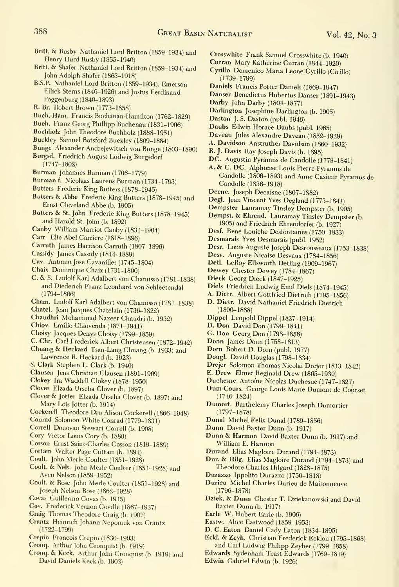- Britt. & Rusby Nathaniel Lord Britton (1859-1934) and Henry Hurd Rusby (1855-1940)
- Britt. & Shafer Nathaniel Lord Britton (1859-1934) and John Adolph Shafer (1863-1918)
- B.S.P. Nathaniel Lord Britton (1859-1934), Emerson EUick Stems (1846-1926) and Justus Ferdinand Poggenburg (1840-1893)
- R. Br. Robert Brown (1773-1858)
- Buch.-Ham. Francis Buchanan-Hamilton (1762-1829)
- Buch. Franz Georg Phillipp Buchenau (1831-1906)
- Buchholz John Theodore Buchholz (1888-1951)
- Buckley Samuel Botsford Buckley (1809-1884)
- Bunge Alexander Andrejewitsch von Bunge (1803-1890) Burgsd. Friedrich August Ludwig Burgsdorf
	- (1747-1802)
- Burman Johannes Burman (1706-1779)
- Burman f. Nicolaas Laurens Burman (1734-1793)
- Butters Frederic King Butters (1878-1945)
- Butters & Abbe Frederic King Butters (1878-1945) and Ernst Cleveland Abbe (b. 1905)
- Butters & St. John Frederic King Butters (1878-1945) and Harold St. John (b. 1892)
- Canby William Marriot Canby (1831-1904)
- Carr. Elie Abel Carriere (1818-1896)
- Carruth James Harrison Carruth (1807-1896)
- Cassidy James Cassidy (1844-1889)
- Cav. Antonio Jose Cavanilles (1745-1804)
- Chaix Dominique Chaix (1731-1800)
- Chaix Dominique Chaix (1731–1800)<br>C. & S. Ludolf Karl Adalbert von Chamisso (1781–1838) Dieck Georg Dieck (1847–1925) and Diederich Franz Leonhard von Schlectendal (1794-1866)
- Cham. Ludolf Karl Adalbert von Chamisso (1781-1838)
- Chatel. Jean Jacques Chatelain (1736-1822)
- Chaudhri Mohammad Nazeer Chaudri (b. 1932)
- Chiov. Emilio Chiovenda (1871-1941)
- 
- Choisy Jacques Denys Choisy (1799-1859)
- Chuang & Heckard Tsan-Lang Chuang (b. 1933) and Lawrence R. Heckard (b. 1923)
- S. Clark Stephen L. Clark (b. 1940)
- Clausen Jens Christian Clausen (1891-1969)
- Clokey Ira Waddell Clokey (1878-1950)
- Clover Elzada Urseba Clover (b. 1897)
- Clover & Jotter Elzada Urseba Clover (b. 1897) and Mary Lois Jotter (b. 1914)
- Cockerell Theodore Dru Alison Cockerell (1866-1948)
- Conrad Solomon White Conrad (1779-1831)
- Correll Donovan Stewart Correll (b. 1908)
- Cory Victor Louis Cory (b. 1880)
- Cosson Ernst Saint-Charles Cosson (1819-1889)
- Cottam Walter Page Cottam (b. 1894)
- Coult. John Merle Coulter (1851-1928)
- Coult. & Nels. John Merle Coulter (1851-1928) and Aven Nelson (1859-1952)
- Coult. & Rose John Merle Coulter (1851-1928) and Joseph Nelson Rose (1862-1928)
- Covas Guillermo Covas (b. 1915)
- Cov. Frederick Vernon Coville (1867-1937)
- Craig Thomas Theodore Craig (b. 1907)
- Crantz Heinrich Johann Nepomuk von Crantz (1722-1799)
- Crepin Francois Crepin (1830-1903)
- Cronq. Arthur John Cronquist (b. 1919)
- Cronq. & Keck. Arthur John Cronquist (b. 1919) and David Daniels Keck (b. 1903)
- Crosswhite Frank Samuel Crosswhite (b. 1940)
- Curran Mary Katherine Curran (1844-1920)
- Cyrillo Domenico Maria Leone Cyrillo (Cirillo) (1739-1799)
- Daniels Francis Potter Daniels (1869-1947)
- Danser Benedictus Hubertus Danser (1891-1943)
- Darby John Darby (1804-1877)
- Darlington Josephine Darlington (b. 1905)
- Daston J. S. Daston (publ. 1946)
- Daubs Edwin Horace Daubs (publ. 1965)
- Daveau Jules Alexandre Daveau (1852-1929)
- A. Davidson Anstruther Davidson (1860-1932)
- R. J. Davis Ray Joseph Davis (b. 1895)
- DC. Augustin Pyramus de Candolle (1778-1841)
- A. & C. DC. Alphonse Louis Pierre Pyramus de Candolle (1806-1893) and Anne Casimir Pyramus de Candolle (1836-1918)
- Decne. Joseph Decaisne (1807-1882)
- Degl. Jean Vincent Yves Degland (1773-1841)
- Dempster Lauramay Tinsley Dempster (b. 1905)
- Dempst. & Ehrend. Lauramay Tinsley Dempster (b. 1905) and Friedrich Ehrendorfer (b. 1927)
- Desf. Rene Louiche Desfontaines (1750-1833)
- Desmarais Yves Desmarais (publ. 1952)
- Desr. Louis Auguste Joseph Desrousseaux (1753-1838)
- Desv. Auguste Nicaise Desvaux (1784-1856)
- Detl. LeRoy Ellsworth Detling (1909-1967)
- 
- Dieck Georg Dieck (1847-1925)
- Diels Friedrich Ludwig Emil Diels (1874-1945)
- A. Dietr. Albert Gottfried Dietrich (1795-1856)
- D. Dietr. David Nathaniel Friedrich Dietrich (1800-1888)
- Dippel Leopold Dippel (1827-1914)
- D. Don David Don (1799-1841)
- G. Don Georg Don (1798-1856)
- Donn James Donn (1758-1813)
- Dorn Robert D. Dorn (publ. 1977)
- Dougl. David Douglas (1798-1834)
- Drejer Solomon Thomas Nicolai Drejer (1813-1842)
- E. Drew Elmer Reginald Drew (1865-1930)
- Duchesne Antoine Nicolas Duchesne (1747-1827)
- Dum-Cours. George Louis Marie Dumont de Courset (1746-1824)
- Dumort. Barthelemy Charles Joseph Dumortier (1797-1878)
- Dunal Michel Felix Dunal (1789-1856)
- Dunn David Baxter Dunn (b. 1917)
- Dunn & Harmon David Baxter Dunn (b. 1917) and William E. Harmon
- Durand Elias Magloire Durand (1794-1873)
- Dur. & Hilg. Elias Magloire Durand (1794-1873) and Theodore Charles Hilgard (1828-1875)
- Durazzo Ippolito Durazzo (1750-1818)
- Durieu Michel Charles Durieu de Maisonneuve (1796-1878)

D. C. Eaton Daniel Cady Eaton (1834-1895) Eckl. & Zeyh. Christian Frederick Ecklon (1795-1868) and Carl Ludwig Philipp Zeyher (1799-1858) Edwards Sydenham Teast Edwards (1769-1819)

- Dziek. & Dunn Chester T. Dziekanowski and David Baxter Dunn (b. 1917)
- Earie W. Hubert Earle (b. 1906) Eastw. Alice Eastwood (1859-1953)

Edwin Gabriel Edwin (b. 1926)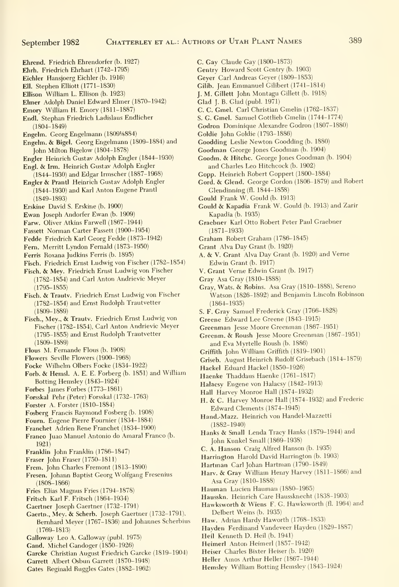- Ehrend. Friedrich Ehrendorfer (b. 1927)
- Ehrh. Friedrich Ehrhart (1742-1795)
- Eichler Hansjoerg Eichler (b. 1916)
- Ell. Stephen Elliott (1771-1830)
- Ellison William L. Ellison (b. 1923) Elmer Adolph Daniel Edward Elmer (1870-1942)
- 
- Emory William H. Emory (1811-1887)
- Endl. Stephan Friedrich Ladislaus Endlicher (1804-1849)
- Engelm. Georg Engelmann (18091/884)
- Engelm. & Bigel. Georg Engelmann (1809-1884) and John Milton Bigelow (1804-1878)
- Engler Heinrich Gustav Adolph Engler (1844-1930)
- Engl. & Irm. Heinrich Gustav Adolph Engler
- (1844-1930) and Edgar Irmscher (1887-1968) Engler & Prantl Heinrich Gustav Adolph Engler
- (1844-1930) and Karl Anton Eugene Prantl (1849-1893)
- Erskine David S. Erskine (b. 1900)
- Ewan Joseph Andorfer Ewan (b. 1909)
- Farw. Oliver Atkins Farwell (1867-1944)
- Fassett Norman Carter Fassett (1900-1954)
- Fedde Friedrich Karl Georg Fedde (1873-1942)
- Fern. Merritt Lyndon Femald (1873-1950)
- Ferris Roxana Judkins Ferris (b. 1895)
- Fisch. Friedrich Ernst Ludwig von Fischer (1782-1854)
- Fisch. & Mey. Friedrich Ernst Ludwig von Fischer (1782-1854) and Carl Anton Andrievic Meyer  $(1795 - 1855)$
- Fisch. & Trautv. Friedrich Ernst Ludwig von Fischer (1782-1854) and Ernst Rudolph Trautvetter (1809-1889)
- Fisch., Mey., & Trautv. Friedrich Ernst Ludwig von Fischer (1782-1854), Carl Anton Andrievic Meyer (1795-1855) and Ernst Rudolph Trautvetter (1809-1889)
- Flous M. Femande Flous (b. 1908)
- Flowers Seville Flowers (1900-1968)
- Focke Wilhelm Olbers Focke (1834-1922)
- Forb. & Hemsl. A. E. E. Forberg (b. 1851) and William Rotting Hemsley (1843-1924)
- Forbes James Forbes (1773-1861)
- Forsskal Pehr (Peter) Forsskal (1732-1763)
- Forster A. Forster (1810-1884)
- Fosberg Francis Raymond Fosberg (b. 1908)
- Foum. Eugene Pierre Foumier (1834-1884)
- Franchet Adrien Rene Franchet (1834-1900)
- Franco Juao Manuel Antonio do Amaral Franco (b. 1921)
- Franklin John Franklin (1786-1847)
- Fraser John Eraser (1750-1811)
- Frem. John Charles Fremont (1813-1890)
- Fresen. Johann Baptist Georg Wolfgang Fresenius (1808-1866)
- Fries Elias Magnus Fries (1794-1878)
- Fritsch Karl F. Fritsch (1864-1934)
- Gaertner Joseph Gaertner (1732-1791)
- Gaertn., Mey. & Scherb. Joseph Gaertner (1732-1791), Bemhard Meyer (1767-1836) and Johannes Scherbius (1769-1813)
- Galloway Leo A. Galloway (publ. 1975)
- Gand. Michel Gandoger (1850-1926)
- Garcke Christian August Friedrich Garcke (1819-1904)
- Garrett Albert Osbun Garrett (1870-1948) Gates Reginald Ruggles Gates (1882-1962)
- C. Gay Claude Gay (1800-1873)
- Gentry Howard Scott Gentry (b. 1903)
- Geyer Carl Andreas Geyer (1809-1853)
- Gilib. Jean Emmanuel Gilibert (1741-1814)
- J. M. Gillett John Montagu Gillett (b. 1918)
- Glad J. B. Glad (publ. 1971)
- C. C. Gmel. Carl Christian Gmelin (1762-1837)
- S. G. Gmel. Samuel Gottlieb Gmelin (1744-1774)
- Godron Dominique Alexandre Godron (1807-1880)
- Goldie John Goldie (1793-1886)
- Goodding Leslie Newton Goodding (b. 1880)
- Goodman George Jones Goodman (b. 1904)
- Goodm. & Hitchc. George Jones Goodman (b. 1904) and Charles Leo Hitchcock (b. 1902)
- Gopp. Heinrich Robert Goppert (1800-1884)
- Gord. & Glend. George Gordon (1806-1879) and Robert Glendinning (fl. 1844-1858)
- Gould Frank W. Gould (b. 1913)
- Gould & Kapadia Frank W. Gould (b. 1913) and Zarir Kapadia (b. 1935)
- Graebner Karl Otto Robert Peter Paul Graebner (1871-1933)
- Graham Robert Graham (1786-1845)
- Grant Alva Day Grant (b. 1920)
- A. & V.Grant Alva Day Grant (b. 1920) and Verne Edwin Grant (b. 1917)
- V. Grant Verne Edwin Grant (b. 1917)
- Gray Asa Gray (1810-1888)
- Gray, Wats. & Robins. Asa Gray (1810-1888), Sereno Watson (1826-1892) and Benjamin Lincoln Robinson (1864-1935)
- S. F. Gray Samuel Frederick Gray (1766-1828)
- Greene Edward Lee Greene (1843-1915)
- Greenman Jesse Moore Greenman (1867-1951)
- Greenm. & Roush Jesse Moore Greenman (1867-1951) and Eva Myrtelle Roush (b. 1886)
- Griffith John William Griffith (1819-1901)
- Griseb. August Heinrich Rudolf Grisebach (1814-1879)
- Hackel Eduard Hackel (1850-1926)
- Haenke Thaddaus Haenke (1761-1817)
- Halacsy Eugene von Halacsy (1842-1913)
- Hall Harvey Monroe Hall (1874-1932)
- H. & C. Harvey Monroe Hall (1874-1932) and Frederic Edward Clements (1874-1945)
- Hand.-Mazz. Heinrich von Handel-Mazzetti (1882-1940)
- Hanks & Small Lenda Tracy Hanks (1879-1944) and John Kunkel Small (1869-1938)
- C. A. Hanson Craig Alfred Hanson (b. 1935)
- Harrington Harold David Harrington (b. 1903)
- Hartman Cari Johan Hartman (1790-1849)
- Harv. & Gray William Henry Harvey (1811-1866) and Asa Gray (1810-1888)
- Hauman Lucien Hauman (1880-1965)
- Hausskn. Heinrich Care Haussknecht (1838-1903)
- Hawksworth & Wiens F. G. Hawksworth (fl. 1964) and Delbert Weins (b. 1935)
- Haw. Adrian Hardy Haworth (1768-1833)
- Hayden Ferdinand Vandeveer Hayden (1829-1887)

Hemsley William Botting Hemsley (1843-1924)

- Heil Kenneth D. Heil (b. 1941)
- Heimerl Anton Heimerl (1857-1942)
- Heiser Charles Bixter Heiser (b. 1920)
- Heller Amos Arthur Heller (1867-1944)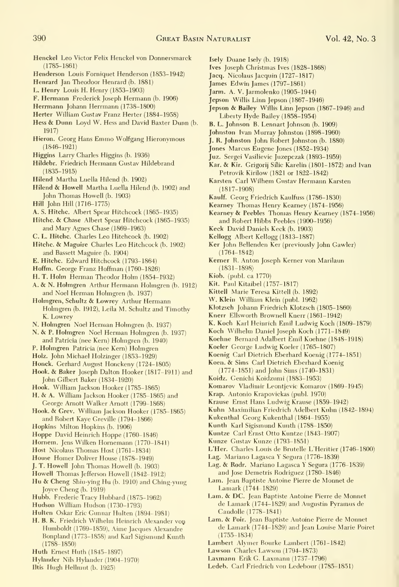- Henckel Leo Victor Felix Henckel von Donnersmarck (1785-1861)
- Henderson Louis Fomiquet Henderson (1853-1942)
- Henrard Jan Theodoor Henrard (b. 1881)
- L. Henry Louis H. Henry (1853-1903)
- F. Hermann Frederick Joseph Hermann (b. 1906)
- Herrmann Johann Herrmann (1738-1800)
- Herter William Gustav Franz Herter (1884-1958)
- Hess & Dunn Loyd W. Hess and David Baxter Dunn (b. 1917)
- Hieron. Georg Hans Emmo Wolfgang Hieronymous (1846-1921)
- Higgins Larry Charles Higgins (b. 1936)
- Hildebr. Friedrich Hermann Gustav Hildebrand (1835-1915)
- Hilend Martha Luella Hilend (b. 1902)
- Hilend & Howell Martha Luella Hilend (b. 1902) and John Thomas Howell (b. 1903)
- Hill John Hill (1716-1775)
- A. S. Hitchc. Albert Spear Hitchcock (1865-1935)
- Hitchc. & Chase Albert Spear Hitchcock (1865-1935) and Mary Agnes Chase (1869-1963)
- C. L. Hitchc. Charles Leo Hitchcock (b. 1902)
- Hitchc. & Maguire Charles Leo Hitchcock (b. 1902) and Bassett Maguire (b. 1904)
- E. Hitchc. Edward Hitchcock (1793-1864)
- Hoffm. George Franz Hoffman (1760-1826)
- H. T. Holm Herman Theodor Holm (1854-1932)
- A. & N. Holmgren Arthur Hermann Holmgren (b. 1912) and Noel Herman Holmgren (b. 1937)
- Holmgren, Schultz & Lowrey Arthur Hermann Holmgren (b. 1912), Leila M. Schultz and Timothy K. Lowrey
- N. Holmgren Noel Herman Holmgren (b. 1937)
- N. & P. Holmgren Noel Herman Holmgren (b. 1937) and Patricia (nee Kern) Holmgren (b. 1940)
- P. Holmgren Patricia (nee Kern) Holmgren
- Holz. John Michael Holzinger (1853-1929)
- Honck. Gerhard August Honckeny (1724-1805)
- Hook. & Baker Joseph Dalton Hooker (1817-1911) and John Gilbert Baker (1834-1920)
- Hook. William Jackson Hooker (1785-1865)
- H. & A. William Jackson Hooker (1785-1865) and George Amott Walker Amott (1799-1868)
- Hook. & Grev. William Jackson Hooker (1785-1865) and Robert Kaye Greville (1794-1866)
- Hopkins Milton Hopkins (b. 1906)
- Hoppe David Heinrich Hoppe (1760-1846)
- Homem. Jens Wilken Homemann (1770-1841)
- Host Nicolaus Thomas Host (1761-1834)
- House Homer Doliver House (1878-1949)
- J. T. Howell John Thomas Howell (b. 1903)
- Howell Thomas Jefferson Howell (1842-1912)
- Hu & Cheng Shiu-ying Hu (b. 1910) and Ching-yung Joyce Cheng (b. 1919)
- Hubb. Frederic Tracy Hubbard (1875-1962)
- Hudson William Hudson (1730-1793)
- Hulten Oskar Eric Gunnar Hulten (1894-1981)
- H. B. K. Friedrich Wilhelm Heinrich Alexander vop Humboldt (1769-1859), Aime Jacques Alexandre Bonpland (1773-1858) and Karl Sigismund Kunth (1788-1850)
- Huth Ernest Huth (1845-1897)
- Hylander Nils Hylander (1904-1970)
- litis Hugh Hellmut (b. 1925)
- Isely Duane Isely (b. 1918)
- Ives Joseph Christmas Ives (1828-1868)
- Jacq. Nicolaus Jacquin (1727-1817)
- James Edwin James (1797-1861)
- Jarm. A. V. Jarmolenko (1905-1944)
- Jepson Willis Linn Jepson (1867-1946)
- Jepson & Bailey Willis Linn Jepson (1867-1946) and Liberty Hyde Bailey (1858-1954)
- B. L. Johnson B. Lennart Johnson (b. 1909)
- Johnston Ivan Murray Johnston (1898-1960)
- J. R. Johnston John Robert Johnston (b. 1880)
- Jones Marcus Eugene Jones (1852-1934)
- Juz. Sergei Vasilievic Juzepczak (1893-1959)
- Kar. & Kir. Grigorij Silic Karelin (1801-1872) and Ivan Petrovik Kirilow (1821 or 1822-1842)
- Karsten Carl Wilhem Gustav Hermann Karsten (1817-1908)
- Kaulf. Georg Friedrich Kaulfuss (1786-1830)
- Kearney Thomas Henry Kearney (1874-1956)
- Kearney & Peebles Thomas Henry Kearney (1874-1956) and Robert Hibbs Peebles (1900-1956)
- Keck David Daniels Keck (b. 1903)
- Kellogg Albert Kellogg (1813-1887)
- Ker John Bellenden Ker (previously John Gawler) (1764-1842)
- Kerner R. Anton Joseph Kerner von Marilaun (1831-1898)
- Kiob. (publ. ca 1770)
- Kit. Paul Kitaibei (1757-1817)
- Kittell Marie Teresa Kittell (b. 1892)
- W. Klein William Klein (publ. 1962)
- Klotzsch Johann Friedrich Klotzsch (1805-1860)
- Knerr Ellsworth Brownell Knerr (1861-1942)
- K. Koch Karl Heinrich Emil Ludwig Koch (1809-1879)
- Koch Wilhelm Daniel Joseph Koch (1771-1849)
- Koehne Bernard Adalbert Emil Koehne (1848-1918)
- Koeler George Ludwig Koeler (1765-1807)
- Koenig Carl Dietrich Eberhard Koenig (1774-1851)
- Koen. & Sims Carl Dietrich Eberhard Koenig
- (1774-1851) and John Sims (1740-1831)
- Koidz. Genichi Koidzumi (1883-1953)
- Komarov Vladimir Leontjevic Komarov (1869-1945)
- Krap. Antonio Krapovickas (publ. 1970)
- Krause Ernst Hans Ludwig Krause (1859-1942)
- Kuhn Maximilian Friedrich Adeibert Kuhn (1842-1894)
- Kukenthal Georg Kukenthal (1864-1955)
- Kunth Karl Sigismund Kunth (1788-1850)
- Kuntze Carl Ernst Otto Kuntze (1843-1907)
- Kunze Gustav Kunze (1793-1851)
- L'Her. Charles Louis de Brutelle L'Heritier (1746-1800)
- Lag. Mariano Lagasca Y Segura (1776-1839)
- Lag. & Rodr. Mariano Lagasca Y Segura (1776-1839) and Jose Demetris Rodriguez (1780-1846)
- Lam. Jean Baptiste Antoine Pierre de Monnet de Lamark (1744-1829)
- Lam. & DC. Jean Baptiste Antoine Pierre de Monnet de Lamark (1744-1829) and Augustin Pyramus de Candolle (1778-1841)
- Lam. & Poir. Jean Baptiste Antoine Pierre de Monnet de Lamark (1744-1829) and Jean Louise Marie Poiret (1755-1834)
- Lambert Alymer Bourke Lambert (1761-1842)

Ledeb. Carl Friedrich von Ledebour (1785-1851)

Lawson Charles Lawson (1794-1873) Laxmann Erik G. Laxmann (1737-1796)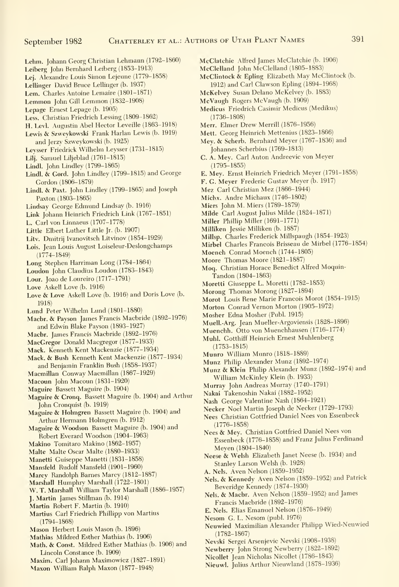- Lehm. Johann Georg Christian Lehmann (1792-1860)
- Leiberg John Bemhard Leiberg (1853-1913)
- Lej. Alexandre Louis Simon Lejeune (1779-1858)
- Lellinger David Bruce Lellinger (b. 1937)
- Lem. Charles Antoine Lemaire (1801-1871)
- Lemmon John Gill Lemmon (1832-1908)
- Lepage Ernest Lepage (b. 1905)
- Less. Christian Friedrich Lessing (1809-1862)
- H. Levl. Augustin Abel Hector Leveille (1863-1918)
- Lewis & Szweykowski Frank Harlan Lewis (b. 1919) and Jerzv Szweykowski (b. 1925)
- Leysser Friedrick Wilhelm Leysser (1731-1815)
- Lilj. Samuel Liljeblad (1761-1815)
- Lindl. John Lindley (1799-1865)
- Lindl. & Gord. John Lindley (1799-1815) and George Gordon (1806-1879)
- Lindl. & Paxt. John Lindley (1799-1865) and Joseph Paxton (1803-1865)
- Lindsay George Edmund Lindsay (b. 1916)
- Link Johann Heinrich Friedrich Link (1767-1851)
- L. Carl von Linnaeus (1707-1778)
- Little Elbert Luther Little Jr. (b. 1907)
- Litv. Dmitrij Ivanovitsch Litvinov (1854-1929)
- Lois. Jean Louis August Loiseleur-Deslongchamps (1774-1849)
- Long Stephen Harriman Long (1784-1864)
- Loudon John Claudius Loudon (1783-1843)
- Lour. Joao de Loureiro (1717-1791)
- Love Askell Love (b. 1916)
- Love & Love Askell Love (b. 1916) and Doris Love (b. 1918)
- Lund Peter Wilhelm Lund (1801-1880)
- Maebr. & Payson James Francis Macbride (1892-1976) and Edwin Blake Payson (1893-1927)
- Maebr. James Francis Macbride (1892-1976)
- MacGregor Donald Macgregor (1877-1933)
- Mack. Kenneth Kent Mackenzie (1877-1934)
- Mack. & Bush Kenneth Kent Mackenzie (1877-1934) and Benjamin Franklin Bush (1858-1937)
- Macmillan Conway Macmillan (1867-1929)
- Macoun John Macoun (1831-1920)
- Maguire Bassett Maguire (b. 1904)
- Maguire & Cronq. Bassett Maguire (b. 1904) and Arthur John Cronquist (b. 1919)
- Maguire & Holmgren Bassett Maguire (b. 1904) and Arthur Hermann Holmgren (b. 1912)
- Maguire & Woodson Bassett Maguire (b. 1904) and Robert Everard Woodson (1904-1963)
- Makino Tomitaro Makino (1862-1957)
- Malte Malte Oscar Malte (1880-1933)
- Manetti Guiseppe Manetti (1831-1858)
- Mansfeld Rudolf Mansfeld (1901-1960)
- Marcv Randolph Barnes Marcv (1812-1887)
- Marshall Humphry Marshall (1722-1801)
- W. T. Marshall William Taylor Marshall (1886-1957)
- J. Martin James Stillman (b. 1914)
- Martin Robert F. Martin (b. 1910)
- Martins Carl Friedrich Phillipp von Martins (1794-1868)
- Mason Herbert Louis Mason (b. 1896)
- Mathias Mildred Esther Mathias (b. 1906)
- Math. & Const. Mildred Esther Mathias (b. 1906) and Lincoln Constance (b. 1909)
- Maxim. Carl Johann Maximowicz (1827-1891)
- Maxon William Ralph Maxon (1877-1948)
- McClatchie Alfred James McClatchie (b. 1906)
- McClelland John McClelland (1805-1883)
- McClintock & Epling Elizabeth May McClintock (b. 1912) and Carl Clawson Epling (1894-1968)
- McKelvey Susan Delano McKelvey (b. 1883)
- McVaugh Rogers McVaugh (b. 1909)
- Medicus Friedrich Casimir Medicus (Medikus) (1736-1808)
- Merr. Elmer Drew Merrill (1876-1956)
- Mett. Georg Heinrich Mettenius (1823-1866)
- Mey. & Scherb. Bemhard Meyer (1767-1836) and Johannes Scherbius (1769-1813)
- C. A. Mey. Carl Anton Andreevic von Meyer (1795-1855)
- E. Mey. Ernst Heinrich Friedrich Meyer (1791-1858)
- F. G. Meyer Frederic Gustav Meyer (b. 1917)
- Mez Carl Christian Mez (1866-1944)
- Miehx. Andre Michaux (1746-1802)
- Miers John M. Miers (1789-1879)
- Milde Carl August Julius Milde (1824-1871)
- Miller Phillip Miller (1691-1771)
- Milliken Jessie Milliken (b. 1887)
- Millsp. Charles Frederick Millspaugh (1854-1923)
- Mirbel Charles Francois Brisseau de Mirbel (1776-1854)
- Moench Conrad Moench (1744-1805)
- Moore Thomas Moore (1821-1887)
- Moq. Christian Horace Benedict Alfred Moquin-Tandon (1804-1863)
- Moretti Giuseppe L. Moretti (1782-1853)
- Morong Thomas Morong (1827-1894)
- Morot Louis Rene Marie Francois Morot (1854-1915)
- Morton Conrad Vernon Morton (1905-1972)
- Mosher Edna Mosher (Publ. 1915)
- Muell.-Arg. Jean Mueller-Argoviensis (1828-1896)
- Muenchh. Otto von Muenchhausen (1716-1774)
- Muhl. Gotthiff Heinrich Ernest Muhlenberg
- (1753-1815)
- Munro William Munro (1818-1889)
- Munz Philip Alexander Munz (1892-1974)
- Munz & Klein Philip Alexander Munz (1892-1974) and William McKinley Klein (b. 1933)
- Murray John Andreas Murray (1740-1791)
- Nakai Takenoshin Nakai (1882-1952)
- Nash George Valentine Nash (1864-1921)
- Necker Noel Martin Joseph de Necker (1729-1793)
- Nees Christian Gottfried Daniel Nees von Essenbeck (1776-1858)
- Nees & Mey. Christian Gottfried Daniel Nees von Essenbeck (1776-1858) and Franz Julius Ferdinand Meyen (1804-1840)
- Neese & Welsh Elizabeth Janet Neese (b. 1934) and Stanley Larson Welsh (b. 1928)
- A. Nels. Aven Nelson (1859-1952)

(1782-1867)

Nels. & Kennedy Aven Nelson (1859-1952) and Patrick Beveridge Kennedy (1874-1930)

Neuwied Maximilian Alexander Philipp Wied-Neuwied

Nels. & Maebr. Aven Nelson (1859-1952) and James Francis Macbride (1892-1976)

E. Nels. Elias Emanuel Nelson (1876-1949) Nesom G. L. Nesom (publ. 1976)

Nevski Sergei Arsenjevic Nevski (1908-1938) Newberry John Strong Newberry (1822-1892) Nicollet Jean Nicholas Nicollet (1786-1843) Nieuwl. Julius Arthur Nieuwland (1878-1936)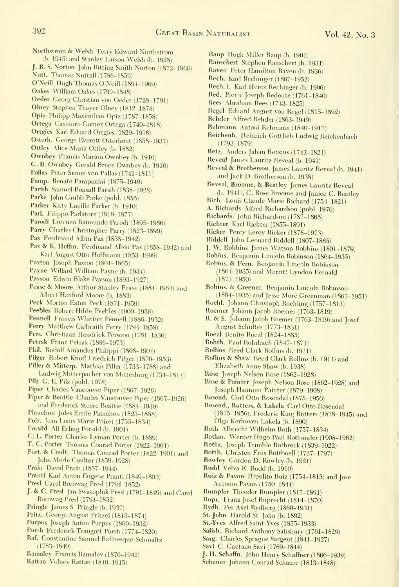Northstrom & Welsh Terry Edward Northstrom

- (b. 1945) and Stanley Larson Welsh (b. 1928) J. B. S. Norton John Bitting Smith Norton (1872-1966)
- Nutt. Thomas Nuttall (1786-1859)
- O'Neill Hugh Thomas O'Neill (1894-1969)
- Oakes William Oakes (1799-1848)
- Oeder Georg Christian von Oeder (1728-1791)
- OIney Stephen Thayer Olney (1812-1878)
- Opiz Philipp Maximilian Opiz (1787-1858)
- Ortega Casimiro Gomez Ortega (1740-1818)
- Ortgies Karl Eduard Ortgies (1829-1916)
- Osterh. George Everett Osterhout (1858-1937)
- Ottley Alice Maria Ottley (b. 1882)
- Ownbey Francis Marion Ownbey (b. 1910)
- G. B. Ownbey Gerald Bruce Ownbey (b. 1916)
- Pallas Peter Simon von Pallas (1741-1811)
- Pamp. Renato Pampanini (1875-1949)
- Parish Samuel Bonsall Parish (1838-1928)
- Parke John Grubb Parke (publ. 1855)
- Parker Kitty Lucille Parker (b. 1910)
- Parl. Filippo Parlatore (1816-1877)
- Parodi Lorenzo Raimundo Parodi (1895-1966)
- Parry Charles Christopher Parry (1823-1890)
- Pax Ferdinand Albin Pax (1858-1942)
- Pax & K. Hoffm. Ferdinand Albin Pax (1858-1942) and Karl August Otto Hoffmann (1853-1909)
- Paxton Joseph Paxton (1801-1865)
- Payne Willard William Payne (b. 1934)
- Payson Edwin Blake Payson (1893-1927)
- Pease & Moore Arthur Stanley Pease (1881-1964) and Albert Hanford Moore (b. 1883)
- Peck Morton Eaton Peck (1871-1959)
- Peebles Robert Hibbs Peebles (1900-1956)
- Pennell Francis Whittier Pennell (1886-1952)
- Perry Matthew Calbraith Perry (1794-1858)
- Pers. Christiaan Hendrick Persoon (1761-1836)
- Petrak Franz Petrak (1886-1973)
- Phil. Rudolf Amandus Philippi (1808-1904)
- Pilger Robert Knud Friedrich Pilger (1876-1953)
- Piller & Mitterp. Mathias Piller (1733-1788) and
- Ludwig Mitterpacher von Mitterburg (1734-1814) Pilz G. E. Pilz (publ. 1978)
- Piper Charles Vancouver Piper (1867-1926)
- Piper & Beattie Charles Vancouver Piper (1867-1926) and Frederick Steere Beattie (1884-1939)
- Planchon Jules Emile Planchon (1823-1888)
- Poir. Jean Louis Marie Poiret (1755-1834)
- Porsild Alf Erling Porsild (b. 1901)
- C. L. Porter Charles Lyman Porter (b. 1889)
- T. C. Porter Thomas Conrad Porter (1822-1901)
- Port. & Coult. Thomas Conrad Porter (1822-1901) and John Merie Coulter (1859-1928)
- Prain David Prain (1857-1944)
- PrantI Kari Anton Eugene Prantl (1849-1893)
- Presl Carel Borowag PresI (1794-1852)
- J. & C. Presl Jan Swatopluk Presl (1791-1849) and Carel Borowag Presl (1794-1852)
- Pringle James S. Pringle (b. 1937)
- Pritz. George August Pritzel (1815-1874)
- Purpus Joseph Anton Purpus (1860-1932)
- Pursh Frederick Traugott Pursh (1774-1820)
- Raf. Constantine Samuel Rafinesque-Schmaltz (1783-1840)
- Ramaley Francis Ramaley (1870-1942)
- Rattan Volney Rattan (1840-1915)
- Raup Hugh Miller Raup (b. 1901)
- Rauschert Stephen Rauschert (b. 1931)
- Raven Peter Hamilton Raven (b. 1936)
- Rech. Kari Rechinger (1867-1952)
- Rech. f. Karl Heinz Rechinger (b. 1906)
- Red. Pierre Joseph Redoute (1761-1840)
- Rees Abraham Rees (1743-1825)
- Regel Eduard August von Regel (1815-1892)
- Rehder Alfred Rehder (1863-1949)
- Rehmann Antoni Rehmann (1840-1917)
- Reichenb. Heinrich Gottlieb Ludwig Reichenbach (1793-1879)
- Retz. Anders Jahan Retzius (1742-1821)
- Reveal James Lauritz Reveal (b. 1941)
- Reveal & Brotherson James Lauritz Reveal (b. 1941) and Jack D. Brotherson (b. 1938)
- Reveal, Broome, & Beatley James Lauritz Reveal (b. 1941), C. Rose Broome and Janice C. Beatley
- Rich. Louis Claude Marie Richard (1754-1821)
- A. Richards Alfred Richardson (publ. 1976)
- Richards. John Richardson (1787-1865)
- Richter Karl Richter (1855-1891)
- Ricker Percy Leroy Ricker (1878-1973)
- Riddell John Leonard Riddell (1807-1865)
- J. W. Robbins James Watson Robbins (1801-1879)
- Robins. Benjamin Lincoln Robinson (1864-1935)
- Robins. & Fern. Benjamin Lincoln Robinson (1864-1935) and Merritt Lyndon Fernald (1873-1950)
- Robins. & Greenm. Benjamin Lincoln Robinson
- (1864-1935) and Jesse More Greenman (1867-1951) Roehl. Johann Christoph Roehling (1757-1813)
- Roemer Johann Jacob Roemer (1763-1819)
- 
- R. & S. Johann Jacob Roemer (1763-1819) and Josef August Schultes (1773-1831)
- RoezI Benito Roezl (1824-1885)
- Rohrb. Paul Rohrbach (1847-1871)
- Rollins Reed Clark Rollins (b. 1911)
- Rollins & Shaw Reed Clark Rollins (b. 1911) and Elizabeth Anne Shaw (b. 1938)
- Rose Joseph Nelson Rose (1862-1928)
- Rose & Painter Joseph Nelson Rose (1862-1928) and Joseph Hannum Painter (1879-1908)
- Rosend. Cari Otto Rosendal (1875-1956)
- Rosend., Butters, & Lakela Carl Otto Rosendal (1875-1956), Frederic King Butters (1878-1945) and Olga Korhoven Lakela (b. 1890)
- Roth Albrecht Wilhelm Roth (1757-1834)
- Rothm. Werner Hugo Paul Rothmaler (1908-1962)

Ruiz & Pavon Hipolito Ruiz (1754-1815) and Jose

J. H. Schaffn. John Henry Schaffner (1866-1939) Schauer Johann Conrad Schaure (1813-1848)

- Rothr. Joseph Trimble Rothrock (1839-1922)
- Rottb. Christen Friis Rottboell (1727-1797) Rowley Gordon D. Rowley (b. 1921)

Rudd Velva E. Rudd (b. 1910)

Antonio Pavon (1750-1844) Rumpler Theodor Rumpler (1817-1891) Rupr. Franz Josef Ruprecht (1814-1870) Rydb. Per Axel Rydberg (1860-1931) St. John Harold St. John (b. 1892) St.-Yves Alfred Saint-Yves (1855-1933) Salisb. Richard Anthony Salisbury (1761-1829) Sarg. Charies Sprague Sargent (1841-1927) Savi C. Gaetano Savi (1769-1844)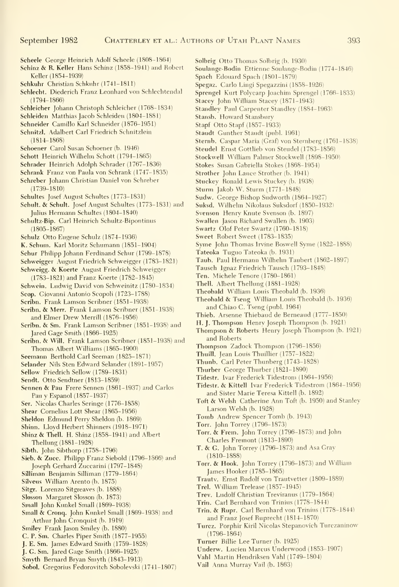Scheele George Heinrich Adolf Scheele (1808-1864) Schinz & R.Keller Hans Schinz (1858-1941) and Robert Keller (1854-1939) Schkuhr Christian Schkuhr (1741-1811) Schlecht. Diederich Franz Leonhard von Schlechtendal (1794-1866) Schleicher Johann Christoph Schleicher (1768-1834) Schleiden Matthias Jacob Schleiden (1804-1881) Schneider Camillo Karl Schneider (1876-1951) Schnitzl. Adalbert Carl Friedrich Schnitzlein (1814-1868) Schoener Carol Susan Schoener (b. 1946) Schott Heinrich Wilhelm Schott (1794-1865) Schrader Heinrich Adolph Schrader (1767-1836) Schrank Franz von Paula von Schrank (1747-1835) Schreber Johann Christian Daniel von Schreber (1739-1810) Schultes Josef August Schultes (1773-1831) Schult. & Schult. Josef August Schultes (1773-1831) and Julius Hermann Schultes (1804-1840) Schultz-Bip. Carl Heinrich Schultz-Bipontinus (1805-1867) Schuiz Otto Eugene Schulz (1874-1936) K. Schum. Karl Moritz Schumann (1851-1904) Schur Philipp Johann Ferdinand Schur (1799-1878) Schweigger August Friedrich Schweigger (1783-1821) Schweigg. & Koerte August Friedrich Schweigger (178.3-1821) and Franz Koerte (1782-1845) Schwein. Ludwig David von Schweinitz (1780-1834) Scop. Giovanni Antonio Scopoli (1723-1788) Scribn. Frank Lamson Scribner (1851-1938) Scribn. & Merr. Frank Lamson Scribner (1851-1938) and Elmer Drew Merrill (1876-1956) Scribn. & Sm. Frank Lamson Scribner (1851-1938) and Jared Gage Smith (1866-1925) Scribn. & Will. Frank Lamson Scribner (1851-1938) and Thomas Albert Williams (1865-1900) Seemann Berthold Carl Seeman (1825-1871) Selander Nils Sten Edward Selander (1891-1957) Sellow Friedrich Sellow (1789-1831) Sendt. Otto Sendtner (1813-1859) Sennen & Pau Frere Sennen (1861-1937) and Carlos Pau y Espanol (1857-1937) Ser. Nicolas Charles Seringe (1776-1858) Shear Cornelius Lott Shear (1865-1956) Sheldon Edmund Perrv Sheldon (b. 1869) Shinn. Llovd Herbert Shinners (1918-1971) Shinz & Thell. H. Shinz (1858-1941) and Albert Thellung (1881-1928) Sibth. John Sibthorp (1758-1796) Sieb. & Zucc. Philipp Franz Siebold (1796-1866) and Joseph Gerhard Zuccarini (1797-1848) Silliman Benjamin Silliman (1779-1864) Silveus William Arento (b. 1875) Sitgr. Lorenzo Sitgreaves (b. 1888) Slosson Margaret Slosson (b. 1873) Small John Kunkel Small (1869-1938) Small & Cronq. John Kunkel Small (1869-1938) and Arthur John Cronquist (b. 1919) Smiley Frank Jason Smilev (b. 1880) C. P. Sm. Charles Piper Smith (1877-1955) **J. E. Sm.** James Edward Smith (1759-1828)

- J. G. Sm. Jared Gage Smith (1866-1925)
- Smyth Bernard Bryan Smyth (1843-1913)
- Sobol. Gregorius Fedorovitch Sobolevski (1741-1807)
- Solbrig Otto Thomas Solbrig (b. 1930)
- Soulange-Bodin Ettienne Soulange-Bodin (1774-1846)
	- Spach Edouard Spach (1801-1879)
- Spegaz. Carlo Lingi Spegazzini (1858-1926)
- Sprengel Kurt Polycarp Joachim Sprengel (1766-1833)
- Stacey John William Stacey (1871-1943)
- Standley Paul Carpenter Standley (1884-1963)
- Stansb. Howard Stansbury
- Stapf Otto Stapf (1857-1933)
- Staudt Gunther Staudt (publ. 1961)
- Sternb. Caspar Maria (Graf) von Sternberg (1761-1838)
- Steudel Ernst Gottlieb von Steudel (1783-1856)
- Stockwell William Palmer Stockwell (1898-1950)
- Stokes Susan Gabriella Stokes (1868-1954)
- Strother John Lance Strother (b. 1941)
- Stuckey Ronald Lewis Stuckey (b. 1938)
- Sturm Jakob W. Sturm (1771-1848)
- Sudw. George Bishop Sudworth (1864-1927)
- Suksd. Wilhelm Nikolaus Suksdorf (1850-1932)
- Svenson Henry Knute Svenson (b. 1897)
- Swallen Jason Richard Swallen (b. 1903)
- Swartz Olof Peter Swartz (1760-1818)
- Sweet Robert Sweet (1783-1835)
- Syme John Thomas Irvine Boswell Syme (1822-1888)
- Tateoka Tuguo Tateoka (b. 1931)
- Taub. Paul Hermann Wilhelm Taubert (1862-1897)
- Tausch Ignaz Friedrich Tausch (1793-1848)
- Ten. Michele Tenore (1780-1861)
- Thell. Albert Thellung (1881-1928)
- Theobald William Louis Theobald (b. 1936)
- Theobald & Tseng William Louis Theobald (b. 1936) and Chiao C. Tseng (publ. 1964)
- Thieb. Arsenne Thiebaud de Bemeaud (1777-1850)
- H. J. Thompson Henry Joseph Thompson (b. 1921)
- Thompson & Roberts Henry Joseph Thompson (b. 1921) and Roberts
- Thompson Zadock Thompson (1796-1856)
- Thuill. Jean Louis Thuillier (1757-1822)
- Thunb. Carl Peter Thunberg (1743-1828)
- Thurber George Thurber (1821-1890)
- Tidestr. Ivar Frederick Tidestrom (1864-1956)
- Tidestr. & Kittell Ivar Frederick Tidestrom (1864-1956) and Sister Marie Teresa Kittell (b. 1892)
- Toft & Welsh Catherine Ann Toft (b. 1950) and Stanley Larson Welsh (b. 1928)
- Tomb Andrew Spencer Tomb (b.1943)
- Torr. John Torrey (1796-1873)
- Torr. & Frem. John Torrev (1796-1873) and John Charies Fremont (1813-1890)
- T. & G. John Torrev (1796-1873) and Asa Gray (1810-1888)
- Torr. & Hook. John Torrey (1796-1873) and William James Hooker (1785-1865)
- Trautv. Ernst Rudolf von Trautvetter (1809-1889)
- Trel. William Trelease (1857-1945)
- Trev. Ludolf Christian Treviranus (1779-1864)
- Trin. Cari Bernhard von Trinius (1778-1844)
- Trin. & Rupr. Carl Bernhard von Trinius (1778-1844) and Franz Josef Ruprecht (1814-1870)
- Turcz. Porphir Kiril Nicolas Stepanovich Turczaninow (1796-1864)
- Turner Billie Lee Turner (b. 1925)
- Underw. Lucien Marcus Underwood (1853-1907)
- Vahl Martin Hendriksen Vahl (1749-1804)
- Vail Anna Murray Vail (b. 1863)